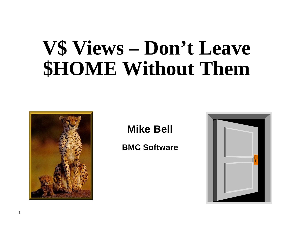# **V\$ Views – Don't Leave \$HOME Without Them**



### **Mike Bell**

### **BMC Software**

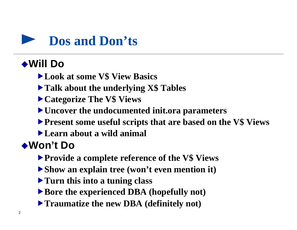

# ◆Will Do

- **ELook at some V\$ View Basics**
- $\blacktriangleright$  **Talk about the underlying X\$ Tables**
- Ñ**Categorize The V\$ Views**
- Ñ**Uncover the undocumented init.ora parameters**
- **Present some useful scripts that are based on the V\$ Views**
- Ñ**Learn about a wild animal**

# ◆**Won't Do**

- **Provide a complete reference of the V\$ Views**
- ▶ Show an explain tree (won't even mention it)
- **Turn this into a tuning class**
- ▶ Bore the experienced DBA (hopefully not)
- **Traumatize the new DBA (definitely not)**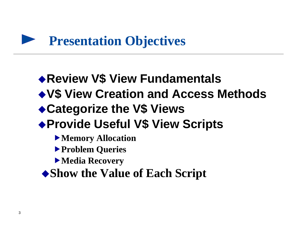# **Presentation Objectives**

# ◆ Review V\$ View Fundamentals

◆ V\$ View Creation and Access Methods

# ◆ Categorize the V\$ Views

- u**Provide Useful V\$ View Scripts**
	- Ñ**Memory Allocation**
	- Ñ**Problem Queries**
	- Ñ**Media Recovery**
	- ◆ Show the Value of Each Script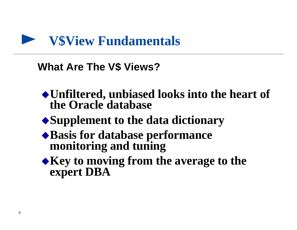

### **What Are The V\$ Views?**

- ◆ Unfiltered, unbiased looks into the heart of **the Oracle database**
- ◆ Supplement to the data dictionary
- ◆ Basis for database performance **monitoring and tuning**
- Key to moving from the average to the **expert DBA**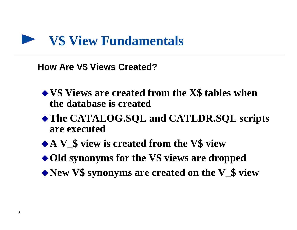

**How Are V\$ Views Created?**

- ◆ **V\$** Views are created from the X\$ tables when **the database is created**
- $\triangle$ The CATALOG.SQL and CATLDR.SQL scripts **are executed**
- ◆ A V **\$** view is created from the V\$ view
- ◆ Old synonyms for the V\$ views are dropped
- ◆ New V\$ synonyms are created on the V\_\$ view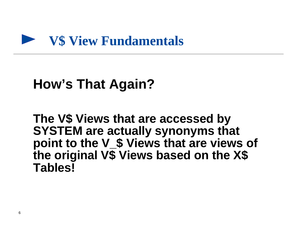

# **How's That Again?**

**The V\$ Views that are accessed by SYSTEM are actually synonyms that point to the V\_\$ Views that are views of the original V\$ Views based on the X\$ Tables!**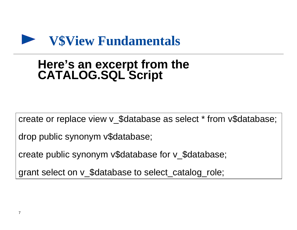

# **Here's an excerpt from the CATALOG.SQL Script**

create or replace view v\_\$database as select \* from v\$database;

drop public synonym v\$database;

create public synonym v\$database for v\_\$database;

grant select on v\_\$database to select\_catalog\_role;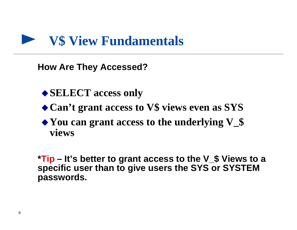

**How Are They Accessed?**

- ◆ **SELECT** access only
- ◆ Can't grant access to V\$ views even as SYS
- $\blacktriangleright$  You can grant access to the underlying V<sub>-</sub>\$ **views**

**\*Tip – It's better to grant access to the V\_\$ Views to a specific user than to give users the SYS or SYSTEM passwords.**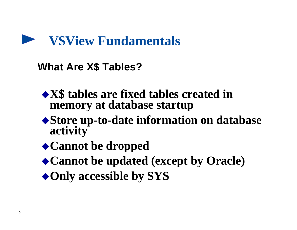

**What Are X\$ Tables?**

- ◆ X\$ tables are fixed tables created in **memory at database startup**
- ◆ Store up-to-date information on database **activity**
- ◆ Cannot be dropped
- ◆ Cannot be updated (except by Oracle)
- ◆ Only accessible by SYS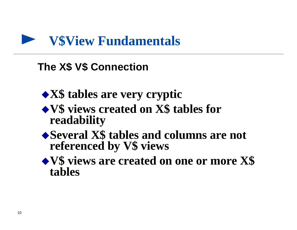

### **The X\$ V\$ Connection**

- ◆**X\$** tables are very cryptic
- u**V\$ views created on X\$ tables for readability**
- ◆ Several X\$ tables and columns are not **referenced by V\$ views**
- ◆ **V\$** views are created on one or more X\$ **tables**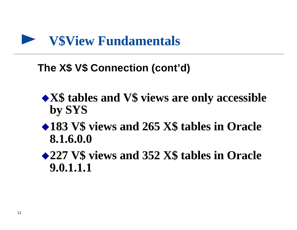

### **The X\$ V\$ Connection (cont'd)**

- ◆ X\$ tables and V\$ views are only accessible **by SYS**
- ◆183 V\$ views and 265 X\$ tables in Oracle **8.1.6.0.0**
- **◆227 V\$ views and 352 X\$ tables in Oracle 9.0.1.1.1**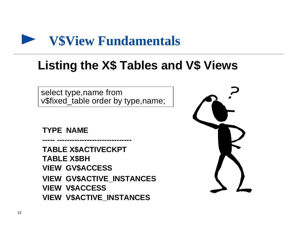

# **Listing the X\$ Tables and V\$ Views**

select type,name from v\$fixed\_table order by type,name;

**TYPE NAME**

**TABLE X\$ACTIVECKPT TABLE X\$BH VIEW GV\$ACCESS VIEW GV\$ACTIVE\_INSTANCES VIEW V\$ACCESS VIEW V\$ACTIVE\_INSTANCES**

**----- ------------------------------**

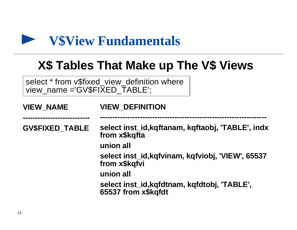

# **X\$ Tables That Make up The V\$ Views**

select \* from v\$fixed\_view\_definition where view\_name ='GV\$FIXED\_TABLE';

| <b>VIEW DEFINITION</b>                                              |
|---------------------------------------------------------------------|
|                                                                     |
| select inst_id, kqftanam, kqftaobj, 'TABLE', indx<br>from x\$kqfta  |
| union all                                                           |
| select inst_id, kqfvinam, kqfviobj, 'VIEW', 65537<br>from x\$kqfvi  |
| union all                                                           |
| select inst_id, kqfdtnam, kqfdtobj, 'TABLE',<br>65537 from x\$kqfdt |
|                                                                     |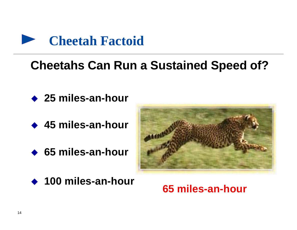

# **Cheetahs Can Run a Sustained Speed of?**

- **◆ 25 miles-an-hour**
- **← 45 miles-an-hour**
- ◆ 65 miles-an-hour
- ◆ 100 miles-an-hour



### **65 miles-an-hour**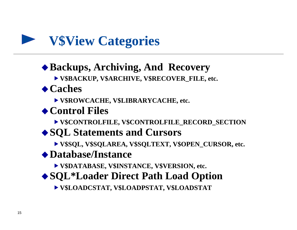

### ◆ Backups, Archiving, And Recovery

Ñ**V\$BACKUP, V\$ARCHIVE, V\$RECOVER\_FILE, etc.**

### ◆ Caches

Ñ**V\$ROWCACHE, V\$LIBRARYCACHE, etc.**

### ◆ Control Files

Ñ**V\$CONTROLFILE, V\$CONTROLFILE\_RECORD\_SECTION**

### ◆ SQL Statements and Cursors

Ñ**V\$SQL, V\$SQLAREA, V\$SQLTEXT, V\$OPEN\_CURSOR, etc.**

### ◆ Database/Instance

Ñ**V\$DATABASE, V\$INSTANCE, V\$VERSION, etc.**

◆ SQL<sup>\*</sup>Loader Direct Path Load Option

Ñ**V\$LOADCSTAT, V\$LOADPSTAT, V\$LOADSTAT**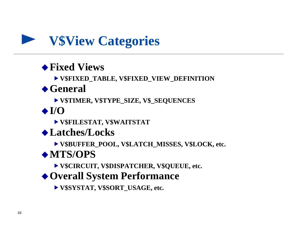

### ◆ Fixed Views

Ñ**V\$FIXED\_TABLE, V\$FIXED\_VIEW\_DEFINITION**

### **◆ General**

Ñ**V\$TIMER, V\$TYPE\_SIZE, V\$\_SEQUENCES**

 $\triangle$ I/O

Ñ**V\$FILESTAT, V\$WAITSTAT**

◆ Latches/Locks

Ñ**V\$BUFFER\_POOL, V\$LATCH\_MISSES, V\$LOCK, etc.**

### ◆ MTS/OPS

▶ V\$CIRCUIT, V\$DISPATCHER, V\$QUEUE, etc.

◆ Overall System Performance

Ñ**V\$SYSTAT, V\$SORT\_USAGE, etc.**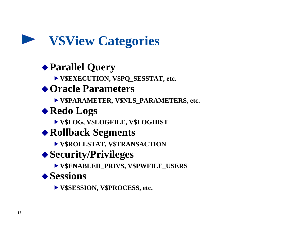# **V\$View Categories**

### ◆ Parallel Query

Ñ**V\$EXECUTION, V\$PQ\_SESSTAT, etc.**

### ◆ Oracle Parameters

Ñ**V\$PARAMETER, V\$NLS\_PARAMETERS, etc.**

### ◆ Redo Logs

Ñ**V\$LOG, V\$LOGFILE, V\$LOGHIST**

### ◆ Rollback Segments

Ñ**V\$ROLLSTAT, V\$TRANSACTION**

### ◆ Security/Privileges

Ñ**V\$ENABLED\_PRIVS, V\$PWFILE\_USERS**

### ◆ Sessions

Ñ**V\$SESSION, V\$PROCESS, etc.**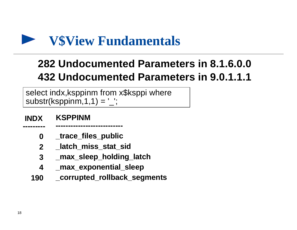

# **282 Undocumented Parameters in 8.1.6.0.0 432 Undocumented Parameters in 9.0.1.1.1**

select indx, ksppinm from x\$ksppi where substr(ksppinm,  $1, 1$ ) =  $'$ ;

 **INDX KSPPINM ---------------------------**

**---------**

- **0 \_trace\_files\_public**
- **2 \_latch\_miss\_stat\_sid**
- **3 \_max\_sleep\_holding\_latch**
- **4 \_max\_exponential\_sleep**
- **190 \_corrupted\_rollback\_segments**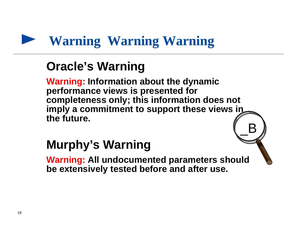# **Warning Warning Warning**

# **Oracle's Warning**

**Warning: Information about the dynamic performance views is presented for completeness only; this information does not imply a commitment to support these views in the future.**  $B$ 

# **Murphy's Warning**

**Warning: All undocumented parameters should be extensively tested before and after use.**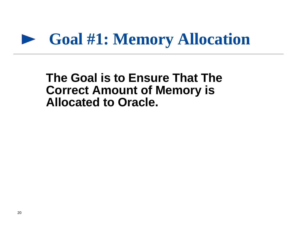# **Goal #1: Memory Allocation**

### **The Goal is to Ensure That The Correct Amount of Memory is Allocated to Oracle.**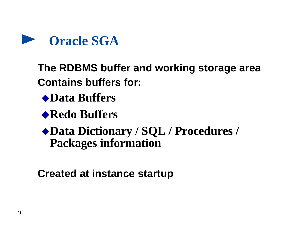

**The RDBMS buffer and working storage area Contains buffers for:**

- ◆Data Buffers
- ◆ Redo Buffers
- u**Data Dictionary / SQL / Procedures / Packages information**

**Created at instance startup**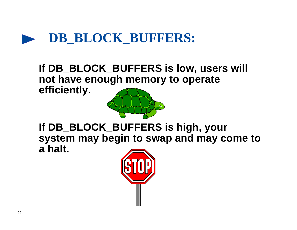

**If DB\_BLOCK\_BUFFERS is low, users will not have enough memory to operate efficiently.**



**If DB\_BLOCK\_BUFFERS is high, your system may begin to swap and may come to a halt.**

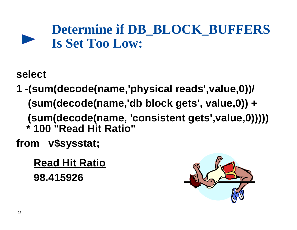# **Determine if DB\_BLOCK\_BUFFERS Is Set Too Low:**

**select**

**1 -(sum(decode(name,'physical reads',value,0))/ (sum(decode(name,'db block gets', value,0)) + (sum(decode(name, 'consistent gets',value,0))))) \* 100 "Read Hit Ratio"**

**from v\$sysstat;**

 **Read Hit Ratio 98.415926**

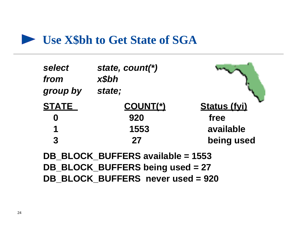### **Let State of SGA**

| select<br>from<br>group by | state, count(*)<br>x\$bh<br>state; |                     |
|----------------------------|------------------------------------|---------------------|
| <b>STATE</b>               | <u>COUNT(*)</u>                    | <b>Status (fyi)</b> |
| $\boldsymbol{0}$           | 920                                | free                |
| 1                          | 1553                               | available           |
| $\overline{3}$             | 27                                 | being used          |
|                            | DB BLOCK_BUFFERS available = 1553  |                     |
|                            | DB_BLOCK_BUFFERS being used = 27   |                     |

**DB\_BLOCK\_BUFFERS never used = 920**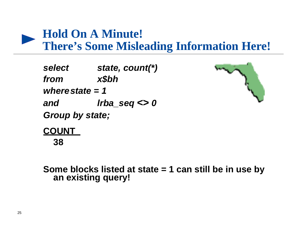

# **Hold On A Minute!**

**There's Some Misleading Information Here!**

*select state, count(\*) from x\$bh wherestate = 1 and lrba\_seq <> 0 Group by state;*



**COUNT 38** 

**Some blocks listed at state = 1 can still be in use by an existing query!**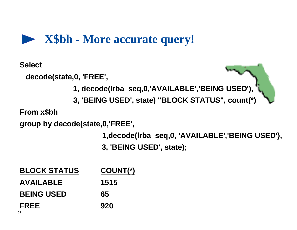

**Select**

 **decode(state,0, 'FREE',**



 **3, 'BEING USED', state) "BLOCK STATUS", count(\*)**

**From x\$bh**

**group by decode(state,0,'FREE',**

 **1,decode(lrba\_seq,0, 'AVAILABLE','BEING USED'),**

 **3, 'BEING USED', state);**

| <b>BLOCK STATUS</b> | <u>COUNT(*)</u> |
|---------------------|-----------------|
| <b>AVAILABLE</b>    | 1515            |
| <b>BEING USED</b>   | 65              |
| <b>FREE</b>         | 920             |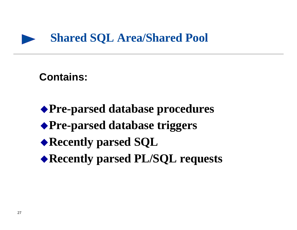

### **Contains:**

u**Pre-parsed database procedures** u**Pre-parsed database triggers** ◆ Recently parsed SQL ◆ Recently parsed PL/SQL requests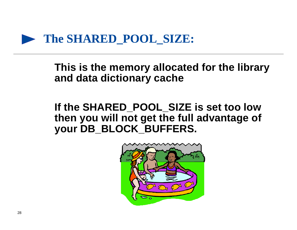

**This is the memory allocated for the library and data dictionary cache**

**If the SHARED\_POOL\_SIZE is set too low then you will not get the full advantage of your DB\_BLOCK\_BUFFERS.**

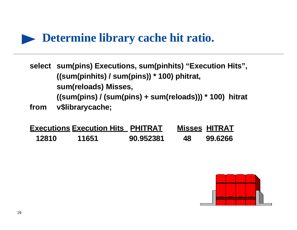

- **select sum(pins) Executions, sum(pinhits) "Execution Hits", ((sum(pinhits) / sum(pins)) \* 100) phitrat, sum(reloads) Misses, ((sum(pins) / (sum(pins) + sum(reloads))) \* 100) hitrat**
- **from v\$librarycache;**

|       | <b>Executions Execution Hits PHITRAT</b> |           |     | <b>Misses HITRAT</b> |
|-------|------------------------------------------|-----------|-----|----------------------|
| 12810 | 11651                                    | 90.952381 | 48. | 99.6266              |

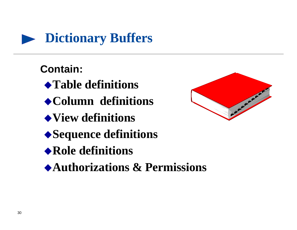

### **Contain:**

- u**Table definitions**
- u**Column definitions**
- u**View definitions**
- ◆Sequence definitions
- ◆ Role definitions
- u**Authorizations & Permissions**

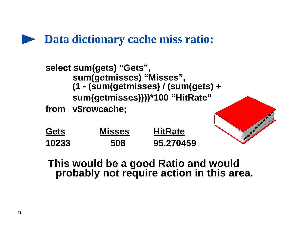### **P** Data dictionary cache miss ratio:



### **This would be a good Ratio and would probably not require action in this area.**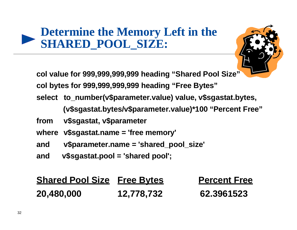# **Determine the Memory Left in the SHARED\_POOL\_SIZE:**

**col value for 999,999,999,999 heading "Shared Pool Size" col bytes for 999,999,999,999 heading "Free Bytes" select to\_number(v\$parameter.value) value, v\$sgastat.bytes, (v\$sgastat.bytes/v\$parameter.value)\*100 "Percent Free" from v\$sgastat, v\$parameter where v\$sgastat.name = 'free memory' and v\$parameter.name = 'shared\_pool\_size' and v\$sgastat.pool = 'shared pool';**

| <b>Shared Pool Size Free Bytes</b> |            | <b>Percent Free</b> |
|------------------------------------|------------|---------------------|
| 20,480,000                         | 12,778,732 | 62.3961523          |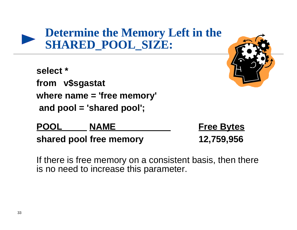# **Determine the Memory Left in the SHARED\_POOL\_SIZE:**

**select \* from v\$sgastat where name = 'free memory' and pool = 'shared pool';**

POOL NAME Free Bytes **shared pool free memory 12,759,956**

If there is free memory on a consistent basis, then there is no need to increase this parameter.



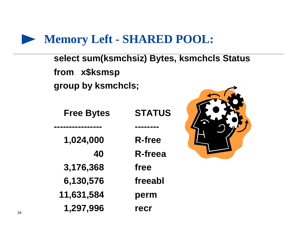# **Memory Left - SHARED POOL:**

**select sum(ksmchsiz) Bytes, ksmchcls Status from x\$ksmsp group by ksmchcls;**

| <b>Free Bytes</b> | <b>STATUS</b> |
|-------------------|---------------|
|                   |               |
| 1,024,000         | <b>R-free</b> |
| 40                | R-freea       |
| 3,176,368         | free          |
| 6,130,576         | freeabl       |
| 11,631,584        | perm          |
| 1,297,996         | recr          |

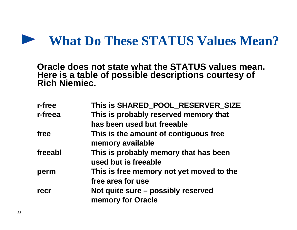#### **What Do These STATUS Values Mean?**

**Oracle does not state what the STATUS values mean. Here is a table of possible descriptions courtesy of Rich Niemiec.**

| r-free  | This is SHARED_POOL_RESERVER_SIZE                             |
|---------|---------------------------------------------------------------|
| r-freea | This is probably reserved memory that                         |
|         | has been used but freeable                                    |
| free    | This is the amount of contiguous free<br>memory available     |
| freeabl | This is probably memory that has been<br>used but is freeable |
| perm    | This is free memory not yet moved to the<br>free area for use |
| recr    | Not quite sure - possibly reserved<br>memory for Oracle       |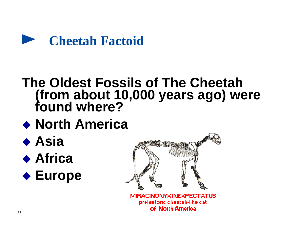

# **The Oldest Fossils of The Cheetah (from about 10,000 years ago) were found where?**

- ◆ North America
- ◆ Asia ◆ Africa



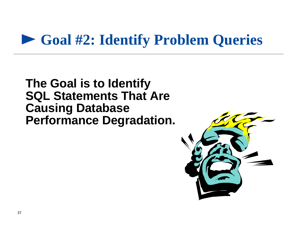# **Goal #2: Identify Problem Queries**

### **The Goal is to Identify SQL Statements That Are Causing Database Performance Degradation.**

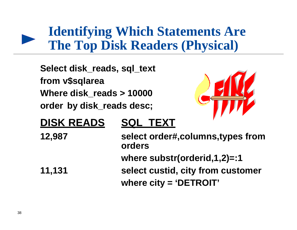# **Identifying Which Statements Are The Top Disk Readers (Physical)**

**Select disk\_reads, sql\_text from v\$sqlarea Where disk\_reads > 10000 order by disk\_reads desc;**



### **DISK READS SQL\_TEXT**

**12,987 select order#,columns,types from orders where substr(orderid,1,2)=:1 11,131 select custid, city from customer where city = 'DETROIT'**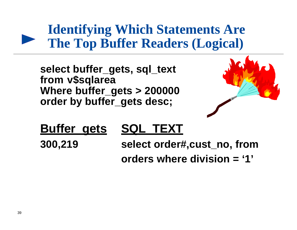# **Identifying Which Statements Are The Top Buffer Readers (Logical)**

**select buffer\_gets, sql\_text from v\$sqlarea Where buffer\_gets > 200000 order by buffer\_gets desc;**



# **Buffer\_gets SQL\_TEXT**

**300,219 select order#,cust\_no, from orders where division = '1'**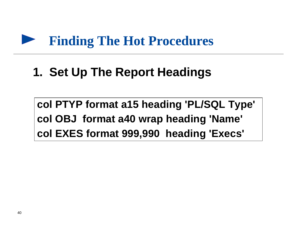#### **Finding The Hot Procedures**

# **1. Set Up The Report Headings**

**col PTYP format a15 heading 'PL/SQL Type' col OBJ format a40 wrap heading 'Name' col EXES format 999,990 heading 'Execs'**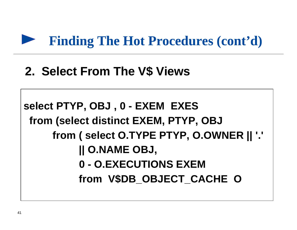

# **2. Select From The V\$ Views**

```
select PTYP, OBJ , 0 - EXEM EXES
  from (select distinct EXEM, PTYP, OBJ
      from ( select O.TYPE PTYP, O.OWNER || '.'
           || O.NAME OBJ,
           0 - O.EXECUTIONS EXEM
           from V$DB_OBJECT_CACHE O
```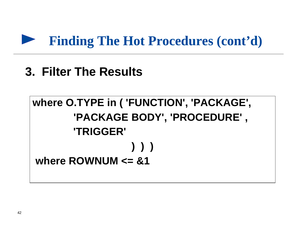

# **3. Filter The Results**

**where O.TYPE in ( 'FUNCTION', 'PACKAGE', 'PACKAGE BODY', 'PROCEDURE' , 'TRIGGER' ) ) ) where ROWNUM <= &1**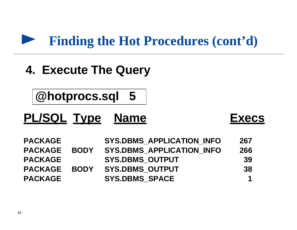### **Finding the Hot Procedures (cont'd)**

# **4. Execute The Query**

**@hotprocs.sql 5**

# **PL/SQL Type Name Execs**

| <b>PACKAGE</b> |             | <b>SYS.DBMS APPLICATION INFO</b> | 267 |
|----------------|-------------|----------------------------------|-----|
| <b>PACKAGE</b> | <b>BODY</b> | <b>SYS.DBMS APPLICATION INFO</b> | 266 |
| <b>PACKAGE</b> |             | <b>SYS.DBMS OUTPUT</b>           | 39  |
| <b>PACKAGE</b> | <b>BODY</b> | <b>SYS.DBMS OUTPUT</b>           | 38  |
| <b>PACKAGE</b> |             | <b>SYS.DBMS SPACE</b>            |     |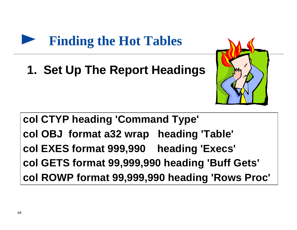

**1. Set Up The Report Headings**



**col CTYP heading 'Command Type' col OBJ format a32 wrap heading 'Table' col EXES format 999,990 heading 'Execs' col GETS format 99,999,990 heading 'Buff Gets' col ROWP format 99,999,990 heading 'Rows Proc'**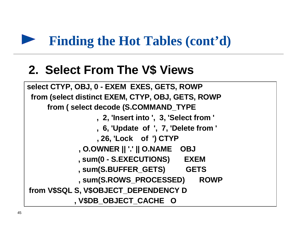# **Finding the Hot Tables (cont'd)**

# **2. Select From The V\$ Views**

```
select CTYP, OBJ, 0 - EXEM EXES, GETS, ROWP
  from (select distinct EXEM, CTYP, OBJ, GETS, ROWP
      from ( select decode (S.COMMAND_TYPE
                  , 2, 'Insert into ', 3, 'Select from '
                  , 6, 'Update of ', 7, 'Delete from '
                  , 26, 'Lock of ') CTYP
              , O.OWNER || '.' || O.NAME OBJ
              , sum(0 - S.EXECUTIONS) EXEM
              , sum(S.BUFFER_GETS) GETS
              , sum(S.ROWS_PROCESSED) ROWP
 from V$SQL S, V$OBJECT_DEPENDENCY D
             , V$DB_OBJECT_CACHE O
```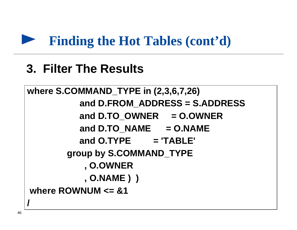

# **3. Filter The Results**

```
where S.COMMAND_TYPE in (2,3,6,7,26)
           and D.FROM_ADDRESS = S.ADDRESS
           and D.TO_OWNER = O.OWNER
          and D.TO_NAME = O.NAMEand O.TYPE = 'TABLE'
        group by S.COMMAND_TYPE
            , O.OWNER
            , O.NAME ) )
 where ROWNUM <= &1
/
```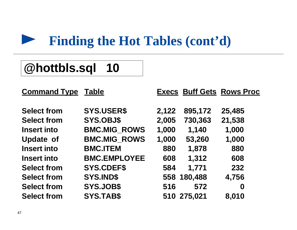#### **Finding the Hot Tables (cont'd)**

# **@hottbls.sql 10**

| <b>Table</b>        |                   |         |                                                                |
|---------------------|-------------------|---------|----------------------------------------------------------------|
|                     |                   |         |                                                                |
|                     | 2,122             | 895,172 | 25,485                                                         |
| <b>SYS.OBJ\$</b>    | 2,005             | 730,363 | 21,538                                                         |
| <b>BMC.MIG ROWS</b> | 1,000             | 1,140   | 1,000                                                          |
| <b>BMC.MIG ROWS</b> | 1,000             | 53,260  | 1,000                                                          |
| <b>BMC.ITEM</b>     | 880               | 1,878   | 880                                                            |
| <b>BMC.EMPLOYEE</b> | 608               | 1,312   | 608                                                            |
| <b>SYS.CDEF\$</b>   | 584               | 1,771   | 232                                                            |
| <b>SYS.IND\$</b>    |                   |         | 4,756                                                          |
| <b>SYS.JOB\$</b>    | 516               | 572     | 0                                                              |
| <b>SYS.TAB\$</b>    |                   |         | 8,010                                                          |
|                     | <b>SYS.USER\$</b> |         | <b>Execs Buff Gets Rows Proc</b><br>558 180,488<br>510 275,021 |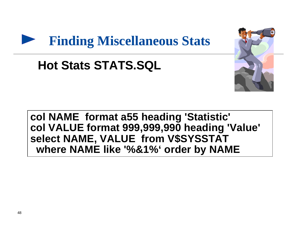# **Finding Miscellaneous Stats**

# **Hot Stats STATS.SQL**



### **col NAME format a55 heading 'Statistic' col VALUE format 999,999,990 heading 'Value' select NAME, VALUE from V\$SYSSTAT where NAME like '%&1%' order by NAME**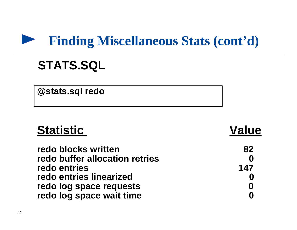### **Finding Miscellaneous Stats (cont'd)**

# **STATS.SQL**

**@stats.sql redo**

| <b>Statistic</b>               | <b>Value</b> |
|--------------------------------|--------------|
| redo blocks written            | 82           |
| redo buffer allocation retries |              |
| redo entries                   | 147          |
| redo entries linearized        |              |
| redo log space requests        |              |
| redo log space wait time       |              |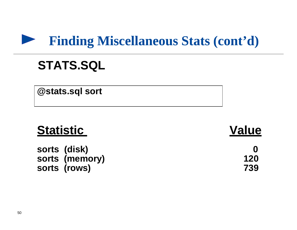#### **Finding Miscellaneous Stats (cont'd)**

# **STATS.SQL**

**@stats.sql sort**

# **Statistic Value**

**sorts (disk) 0 sorts (memory) 120** sorts (rows) 739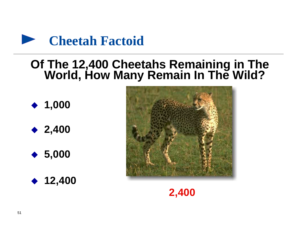

### **Of The 12,400 Cheetahs Remaining in The World, How Many Remain In The Wild?**

◆ 1,000





◆ 12,400



**2,400**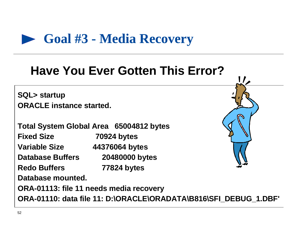

# **Have You Ever Gotten This Error?**

**SQL> startup ORACLE instance started.**

**Total System Global Area 65004812 bytes Fixed Size 70924 bytes Variable Size 44376064 bytes Database Buffers 20480000 bytes Redo Buffers 77824 bytes Database mounted.**

**ORA-01113: file 11 needs media recovery**

**ORA-01110: data file 11: D:\ORACLE\ORADATA\B816\SFI\_DEBUG\_1.DBF'**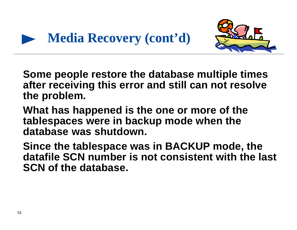



**Some people restore the database multiple times after receiving this error and still can not resolve the problem.**

**What has happened is the one or more of the tablespaces were in backup mode when the database was shutdown.**

**Since the tablespace was in BACKUP mode, the datafile SCN number is not consistent with the last SCN of the database.**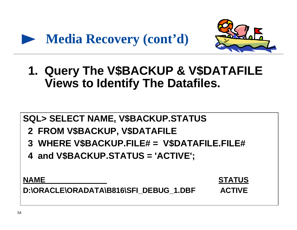



**1. Query The V\$BACKUP & V\$DATAFILE Views to Identify The Datafiles.**

### **SQL> SELECT NAME, V\$BACKUP.STATUS 2 FROM V\$BACKUP, V\$DATAFILE 3 WHERE V\$BACKUP.FILE# = V\$DATAFILE.FILE# 4 and V\$BACKUP.STATUS = 'ACTIVE';**

**NAME** STATUS

D:\ORACLE\ORADATA\B816\SFI\_DEBUG\_1.DBF ACTIVE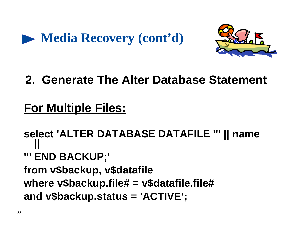



# **2. Generate The Alter Database Statement**

# **For Multiple Files:**

**select 'ALTER DATABASE DATAFILE ''' || name || ''' END BACKUP;' from v\$backup, v\$datafile where v\$backup.file# = v\$datafile.file# and v\$backup.status = 'ACTIVE';**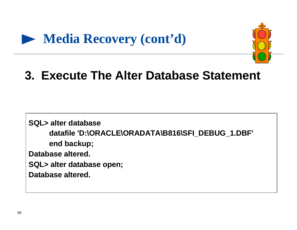



# **3. Execute The Alter Database Statement**

**SQL> alter database datafile 'D:\ORACLE\ORADATA\B816\SFI\_DEBUG\_1.DBF' end backup; Database altered. SQL> alter database open; Database altered.**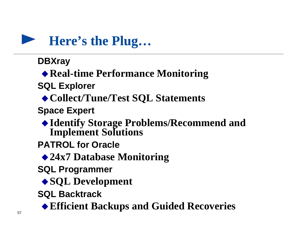

**DBXray**

◆ Real-time Performance Monitoring

**SQL Explorer**

◆ Collect/Tune/Test SQL Statements

**Space Expert**

u**Identify Storage Problems/Recommend and Implement Solutions**

**PATROL for Oracle**

◆24x7 Database Monitoring

**SQL Programmer**

◆ **SQL Development** 

**SQL Backtrack**

u**Efficient Backups and Guided Recoveries**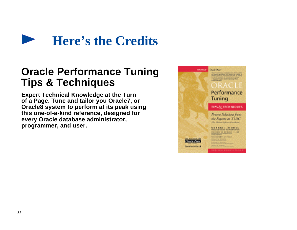

### **Oracle Performance Tuning Tips & Techniques**

**Expert Technical Knowledge at the Turn of a Page. Tune and tailor you Oracle7, or Oracle8 system to perform at its peak using this one-of-a-kind reference, designed for every Oracle database administrator, programmer, and user.**